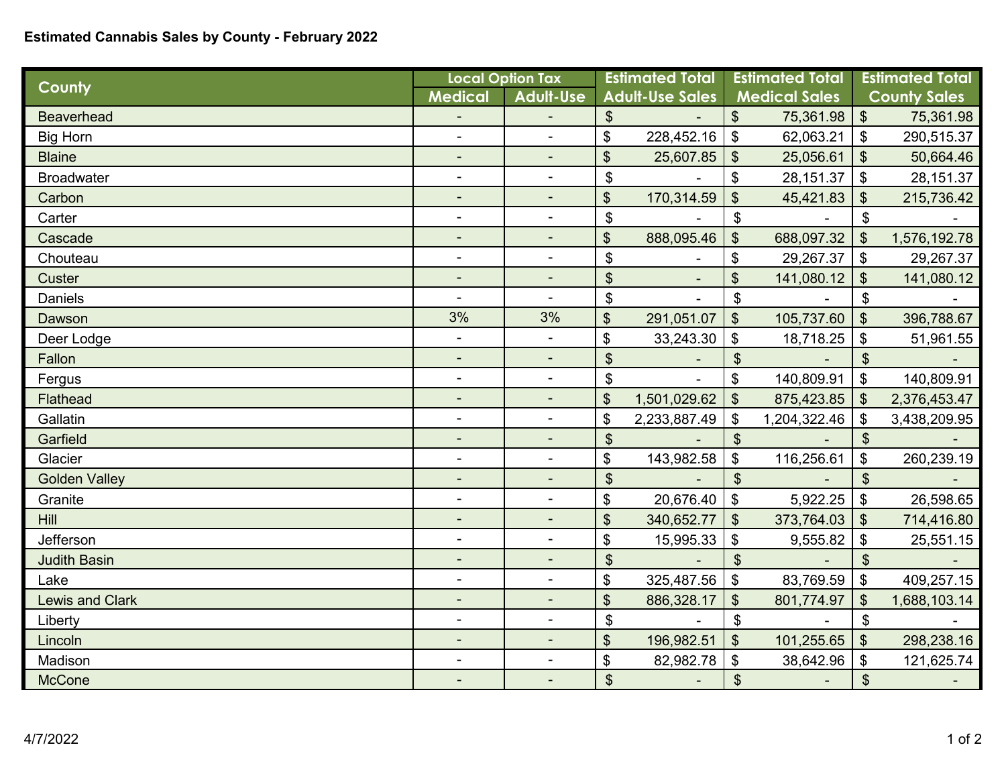## **Estimated Cannabis Sales by County - February 2022**

| County                 | <b>Local Option Tax</b>  |                          | <b>Estimated Total</b>    |                | <b>Estimated Total</b>     |              | <b>Estimated Total</b>       |              |
|------------------------|--------------------------|--------------------------|---------------------------|----------------|----------------------------|--------------|------------------------------|--------------|
|                        | <b>Medical</b>           | <b>Adult-Use</b>         | <b>Adult-Use Sales</b>    |                | <b>Medical Sales</b>       |              | <b>County Sales</b>          |              |
| <b>Beaverhead</b>      |                          |                          | $\boldsymbol{\mathsf{S}}$ |                | $\boldsymbol{\mathsf{S}}$  | 75,361.98    | $\vert \mathcal{L}$          | 75,361.98    |
| <b>Big Horn</b>        | ÷,                       | $\overline{a}$           | \$                        | 228,452.16     | \$                         | 62,063.21    | $\boldsymbol{\mathsf{S}}$    | 290,515.37   |
| <b>Blaine</b>          | ÷,                       | $\sim$                   | \$                        | 25,607.85      | $\boldsymbol{\mathsf{S}}$  | 25,056.61    | $\boldsymbol{\mathsf{S}}$    | 50,664.46    |
| <b>Broadwater</b>      | $\blacksquare$           | $\blacksquare$           | \$                        |                | \$                         | 28,151.37    | $\sqrt[6]{\frac{1}{2}}$      | 28, 151.37   |
| Carbon                 | ٠                        | $\blacksquare$           | \$                        | 170,314.59     | \$                         | 45,421.83    | $\boldsymbol{\mathsf{S}}$    | 215,736.42   |
| Carter                 | $\blacksquare$           | $\blacksquare$           | \$                        |                | \$                         |              | $\boldsymbol{\mathsf{\$}}$   |              |
| Cascade                | -                        | $\overline{\phantom{a}}$ | $\mathfrak{S}$            | 888,095.46     | \$                         | 688,097.32   | $\mathfrak{S}$               | 1,576,192.78 |
| Chouteau               | -                        | $\blacksquare$           | \$                        |                | \$                         | 29,267.37    | $\boldsymbol{\mathsf{S}}$    | 29,267.37    |
| <b>Custer</b>          | $\blacksquare$           |                          | $\boldsymbol{\mathsf{S}}$ | $\blacksquare$ | \$                         | 141,080.12   | $\boldsymbol{\mathsf{S}}$    | 141,080.12   |
| <b>Daniels</b>         | ۰                        | $\blacksquare$           | $\mathfrak{S}$            |                | \$                         |              | $\mathfrak{S}$               |              |
| Dawson                 | 3%                       | 3%                       | $\boldsymbol{\theta}$     | 291,051.07     | $\boldsymbol{\mathsf{S}}$  | 105,737.60   | $\boldsymbol{\mathsf{S}}$    | 396,788.67   |
| Deer Lodge             | $\blacksquare$           | $\blacksquare$           | \$                        | 33,243.30      | \$                         | 18,718.25    | \$                           | 51,961.55    |
| Fallon                 |                          |                          | \$                        |                | $\mathfrak{S}$             |              | $\boldsymbol{\mathsf{\$}}$   |              |
| Fergus                 | ٠                        | $\blacksquare$           | \$                        |                | \$                         | 140,809.91   | $\mathfrak{S}$               | 140,809.91   |
| Flathead               | ۰                        | ۰                        | \$                        | 1,501,029.62   | $\boldsymbol{\mathsf{S}}$  | 875,423.85   | $\boldsymbol{\mathsf{S}}$    | 2,376,453.47 |
| Gallatin               | $\overline{\phantom{a}}$ | $\blacksquare$           | \$                        | 2,233,887.49   | \$                         | 1,204,322.46 | \$                           | 3,438,209.95 |
| Garfield               | $\blacksquare$           | $\blacksquare$           | $\boldsymbol{\mathsf{S}}$ |                | $\boldsymbol{\mathsf{S}}$  |              | $\boldsymbol{\mathsf{S}}$    |              |
| Glacier                | $\blacksquare$           | $\blacksquare$           | \$                        | 143,982.58     | \$                         | 116,256.61   | $\boldsymbol{\mathsf{\$}}$   | 260,239.19   |
| <b>Golden Valley</b>   | ٠                        |                          | $\mathfrak{S}$            |                | $\mathfrak{S}$             |              | $\boldsymbol{\mathsf{S}}$    |              |
| Granite                | -                        |                          | \$                        | 20,676.40      | $\boldsymbol{\mathsf{\$}}$ | 5,922.25     | $\boldsymbol{\mathsf{\$}}$   | 26,598.65    |
| <b>Hill</b>            | ٠                        |                          | $\boldsymbol{\mathsf{S}}$ | 340,652.77     | $\mathfrak{S}$             | 373,764.03   | $\boldsymbol{\mathsf{S}}$    | 714,416.80   |
| Jefferson              | ۰                        | $\blacksquare$           | \$                        | 15,995.33      | \$                         | 9,555.82     | $\boldsymbol{\hat{\phi}}$    | 25,551.15    |
| <b>Judith Basin</b>    | ٠                        | $\sim$                   | $\boldsymbol{\mathsf{S}}$ |                | \$                         |              | $\boldsymbol{\mathsf{S}}$    |              |
| Lake                   | Ξ.                       | $\blacksquare$           | \$                        | 325,487.56     | \$                         | 83,769.59    | $\boldsymbol{\mathsf{S}}$    | 409,257.15   |
| <b>Lewis and Clark</b> |                          |                          | \$                        | 886,328.17     | \$                         | 801,774.97   | \$                           | 1,688,103.14 |
| Liberty                | ٠                        | $\blacksquare$           | \$                        |                | \$                         |              | $\boldsymbol{\mathsf{\$}}$   |              |
| Lincoln                | $\overline{\phantom{a}}$ | $\blacksquare$           | \$                        | 196,982.51     | $\boldsymbol{\mathsf{S}}$  | 101,255.65   | $\sqrt[6]{\frac{1}{2}}$      | 298,238.16   |
| Madison                |                          | $\sim$                   | \$                        | 82,982.78      | \$                         | 38,642.96    | \$                           | 121,625.74   |
| <b>McCone</b>          | $\overline{\phantom{a}}$ | $\blacksquare$           | $\boldsymbol{\mathsf{S}}$ |                | \$                         |              | $\boldsymbol{\hat{\varphi}}$ |              |